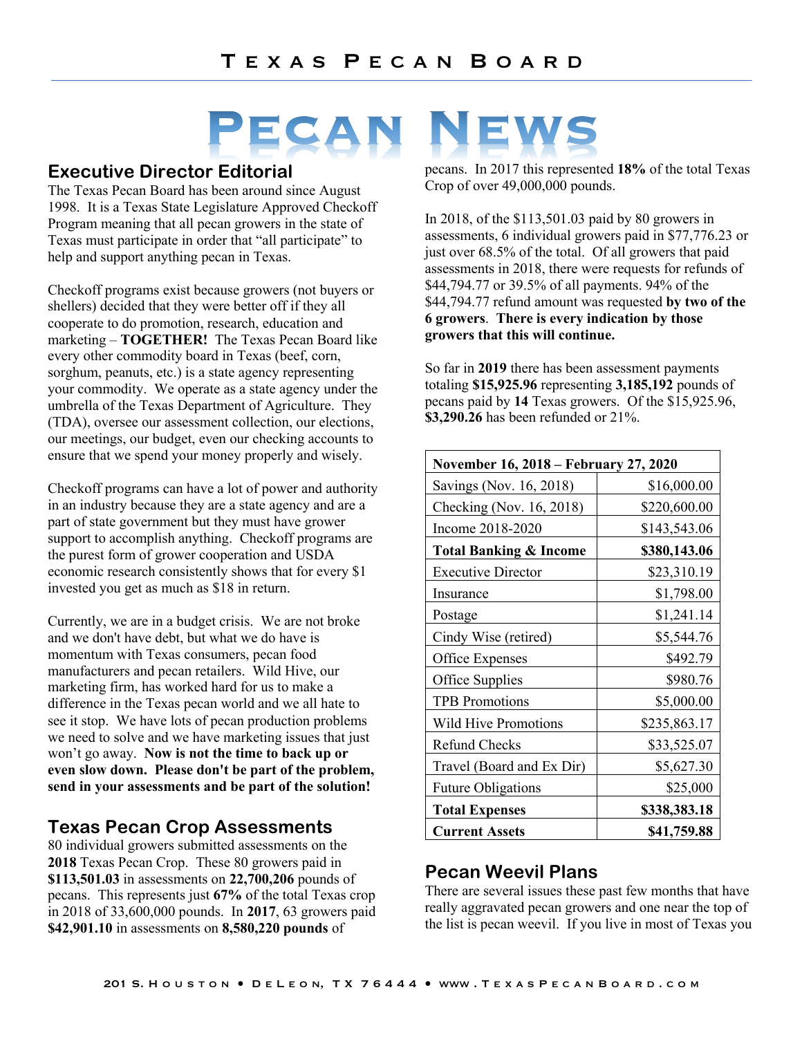# PECAN

# **Executive Director Editorial**

The Texas Pecan Board has been around since August 1998. It is a Texas State Legislature Approved Checkoff Program meaning that all pecan growers in the state of Texas must participate in order that "all participate" to help and support anything pecan in Texas.

Checkoff programs exist because growers (not buyers or shellers) decided that they were better off if they all cooperate to do promotion, research, education and marketing – **TOGETHER!** The Texas Pecan Board like every other commodity board in Texas (beef, corn, sorghum, peanuts, etc.) is a state agency representing your commodity. We operate as a state agency under the umbrella of the Texas Department of Agriculture. They (TDA), oversee our assessment collection, our elections, our meetings, our budget, even our checking accounts to ensure that we spend your money properly and wisely.

Checkoff programs can have a lot of power and authority in an industry because they are a state agency and are a part of state government but they must have grower support to accomplish anything. Checkoff programs are the purest form of grower cooperation and USDA economic research consistently shows that for every \$1 invested you get as much as \$18 in return.

Currently, we are in a budget crisis. We are not broke and we don't have debt, but what we do have is momentum with Texas consumers, pecan food manufacturers and pecan retailers. Wild Hive, our marketing firm, has worked hard for us to make a difference in the Texas pecan world and we all hate to see it stop. We have lots of pecan production problems we need to solve and we have marketing issues that just won't go away. **Now is not the time to back up or even slow down. Please don't be part of the problem, send in your assessments and be part of the solution!**

# **Texas Pecan Crop Assessments**

80 individual growers submitted assessments on the **2018** Texas Pecan Crop. These 80 growers paid in **\$113,501.03** in assessments on **22,700,206** pounds of pecans. This represents just **67%** of the total Texas crop in 2018 of 33,600,000 pounds. In **2017**, 63 growers paid **\$42,901.10** in assessments on **8,580,220 pounds** of

pecans. In 2017 this represented **18%** of the total Texas Crop of over 49,000,000 pounds.

In 2018, of the \$113,501.03 paid by 80 growers in assessments, 6 individual growers paid in \$77,776.23 or just over 68.5% of the total. Of all growers that paid assessments in 2018, there were requests for refunds of \$44,794.77 or 39.5% of all payments. 94% of the \$44,794.77 refund amount was requested **by two of the 6 growers**. **There is every indication by those growers that this will continue.**

So far in **2019** there has been assessment payments totaling **\$15,925.96** representing **3,185,192** pounds of pecans paid by **14** Texas growers. Of the \$15,925.96, **\$3,290.26** has been refunded or 21%.

| November 16, 2018 – February 27, 2020 |              |
|---------------------------------------|--------------|
| Savings (Nov. 16, 2018)               | \$16,000.00  |
| Checking (Nov. 16, 2018)              | \$220,600.00 |
| Income 2018-2020                      | \$143,543.06 |
| <b>Total Banking &amp; Income</b>     | \$380,143.06 |
| <b>Executive Director</b>             | \$23,310.19  |
| Insurance                             | \$1,798.00   |
| Postage                               | \$1,241.14   |
| Cindy Wise (retired)                  | \$5,544.76   |
| Office Expenses                       | \$492.79     |
| Office Supplies                       | \$980.76     |
| <b>TPB</b> Promotions                 | \$5,000.00   |
| <b>Wild Hive Promotions</b>           | \$235,863.17 |
| <b>Refund Checks</b>                  | \$33,525.07  |
| Travel (Board and Ex Dir)             | \$5,627.30   |
| <b>Future Obligations</b>             | \$25,000     |
| <b>Total Expenses</b>                 | \$338,383.18 |
| <b>Current Assets</b>                 | \$41,759.88  |

# **Pecan Weevil Plans**

There are several issues these past few months that have really aggravated pecan growers and one near the top of the list is pecan weevil. If you live in most of Texas you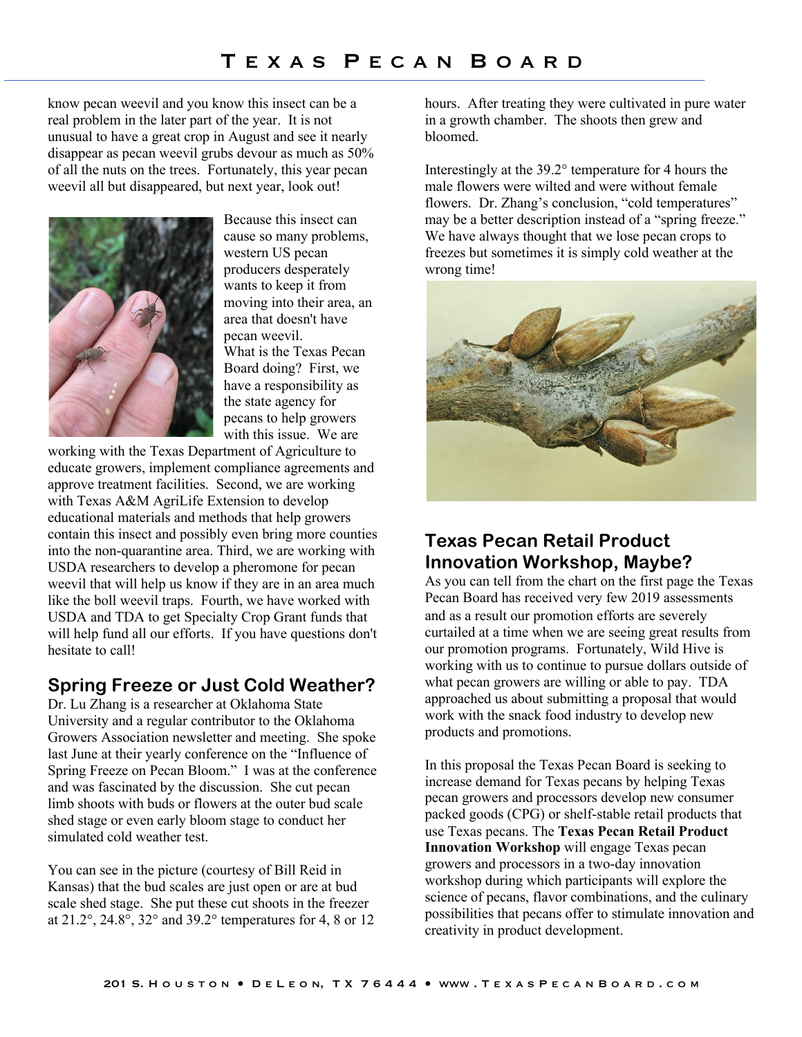know pecan weevil and you know this insect can be a real problem in the later part of the year. It is not unusual to have a great crop in August and see it nearly disappear as pecan weevil grubs devour as much as 50% of all the nuts on the trees. Fortunately, this year pecan weevil all but disappeared, but next year, look out!



Because this insect can cause so many problems, western US pecan producers desperately wants to keep it from moving into their area, an area that doesn't have pecan weevil. What is the Texas Pecan Board doing? First, we have a responsibility as the state agency for pecans to help growers with this issue. We are

working with the Texas Department of Agriculture to educate growers, implement compliance agreements and approve treatment facilities. Second, we are working with Texas A&M AgriLife Extension to develop educational materials and methods that help growers contain this insect and possibly even bring more counties into the non-quarantine area. Third, we are working with USDA researchers to develop a pheromone for pecan weevil that will help us know if they are in an area much like the boll weevil traps. Fourth, we have worked with USDA and TDA to get Specialty Crop Grant funds that will help fund all our efforts. If you have questions don't hesitate to call!

# **Spring Freeze or Just Cold Weather?**

Dr. Lu Zhang is a researcher at Oklahoma State University and a regular contributor to the Oklahoma Growers Association newsletter and meeting. She spoke last June at their yearly conference on the "Influence of Spring Freeze on Pecan Bloom." I was at the conference and was fascinated by the discussion. She cut pecan limb shoots with buds or flowers at the outer bud scale shed stage or even early bloom stage to conduct her simulated cold weather test.

You can see in the picture (courtesy of Bill Reid in Kansas) that the bud scales are just open or are at bud scale shed stage. She put these cut shoots in the freezer at 21.2°, 24.8°, 32° and 39.2° temperatures for 4, 8 or 12 hours. After treating they were cultivated in pure water in a growth chamber. The shoots then grew and bloomed.

Interestingly at the 39.2° temperature for 4 hours the male flowers were wilted and were without female flowers. Dr. Zhang's conclusion, "cold temperatures" may be a better description instead of a "spring freeze." We have always thought that we lose pecan crops to freezes but sometimes it is simply cold weather at the wrong time!



# **Texas Pecan Retail Product Innovation Workshop, Maybe?**

As you can tell from the chart on the first page the Texas Pecan Board has received very few 2019 assessments and as a result our promotion efforts are severely curtailed at a time when we are seeing great results from our promotion programs. Fortunately, Wild Hive is working with us to continue to pursue dollars outside of what pecan growers are willing or able to pay. TDA approached us about submitting a proposal that would work with the snack food industry to develop new products and promotions.

In this proposal the Texas Pecan Board is seeking to increase demand for Texas pecans by helping Texas pecan growers and processors develop new consumer packed goods (CPG) or shelf-stable retail products that use Texas pecans. The **Texas Pecan Retail Product Innovation Workshop** will engage Texas pecan growers and processors in a two-day innovation workshop during which participants will explore the science of pecans, flavor combinations, and the culinary possibilities that pecans offer to stimulate innovation and creativity in product development.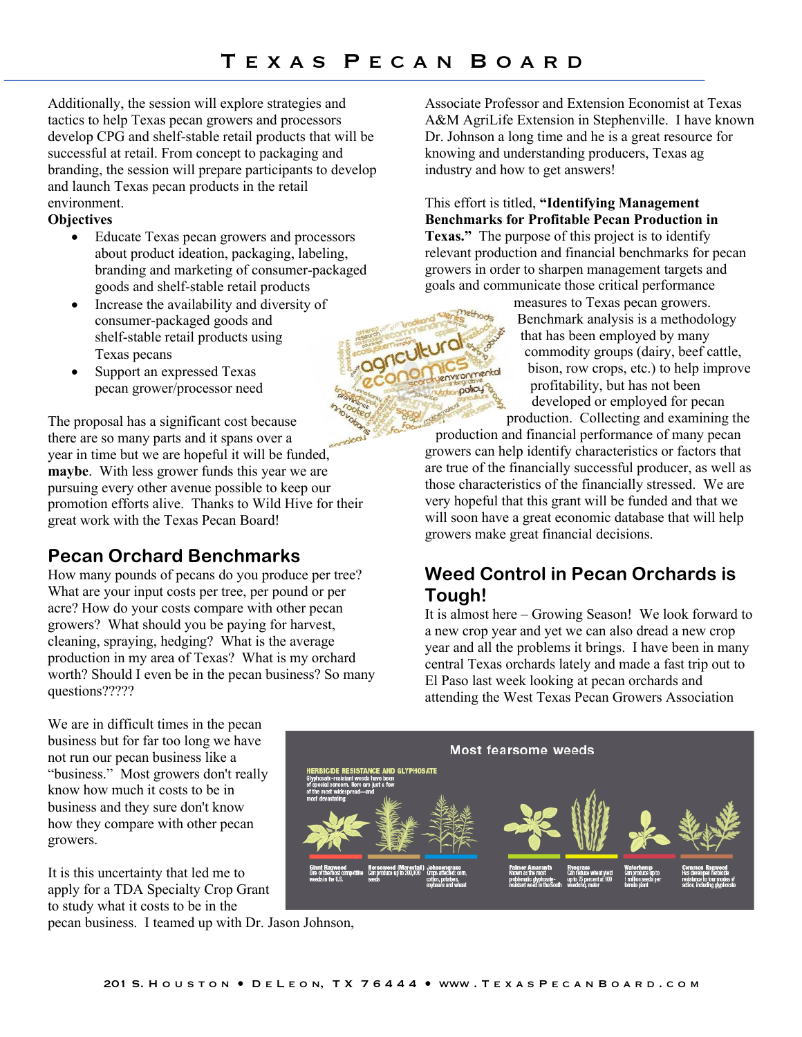griculture

policy

Additionally, the session will explore strategies and tactics to help Texas pecan growers and processors develop CPG and shelf-stable retail products that will be successful at retail. From concept to packaging and branding, the session will prepare participants to develop and launch Texas pecan products in the retail environment.

#### **Objectives**

- Educate Texas pecan growers and processors about product ideation, packaging, labeling, branding and marketing of consumer-packaged goods and shelf-stable retail products
- Increase the availability and diversity of consumer-packaged goods and shelf-stable retail products using Texas pecans
- Support an expressed Texas pecan grower/processor need

The proposal has a significant cost because there are so many parts and it spans over a year in time but we are hopeful it will be funded, **maybe**. With less grower funds this year we are pursuing every other avenue possible to keep our promotion efforts alive. Thanks to Wild Hive for their great work with the Texas Pecan Board!

# **Pecan Orchard Benchmarks**

How many pounds of pecans do you produce per tree? What are your input costs per tree, per pound or per acre? How do your costs compare with other pecan growers? What should you be paying for harvest, cleaning, spraying, hedging? What is the average production in my area of Texas? What is my orchard worth? Should I even be in the pecan business? So many questions?????

We are in difficult times in the pecan business but for far too long we have not run our pecan business like a "business." Most growers don't really know how much it costs to be in business and they sure don't know how they compare with other pecan growers.

It is this uncertainty that led me to apply for a TDA Specialty Crop Grant to study what it costs to be in the

pecan business. I teamed up with Dr. Jason Johnson,

Associate Professor and Extension Economist at Texas A&M AgriLife Extension in Stephenville. I have known Dr. Johnson a long time and he is a great resource for knowing and understanding producers, Texas ag industry and how to get answers!

This effort is titled, **"Identifying Management Benchmarks for Profitable Pecan Production in Texas."** The purpose of this project is to identify relevant production and financial benchmarks for pecan growers in order to sharpen management targets and goals and communicate those critical performance

measures to Texas pecan growers. Benchmark analysis is a methodology that has been employed by many commodity groups (dairy, beef cattle, bison, row crops, etc.) to help improve profitability, but has not been developed or employed for pecan production. Collecting and examining the

production and financial performance of many pecan growers can help identify characteristics or factors that are true of the financially successful producer, as well as those characteristics of the financially stressed. We are very hopeful that this grant will be funded and that we will soon have a great economic database that will help growers make great financial decisions.

# **Weed Control in Pecan Orchards is Tough!**

It is almost here – Growing Season! We look forward to a new crop year and yet we can also dread a new crop year and all the problems it brings. I have been in many central Texas orchards lately and made a fast trip out to El Paso last week looking at pecan orchards and attending the West Texas Pecan Growers Association